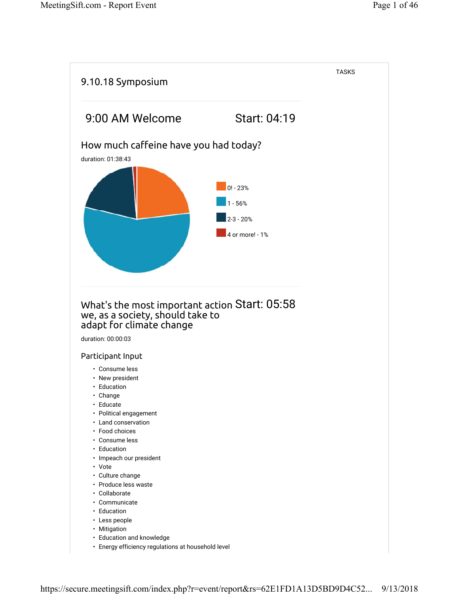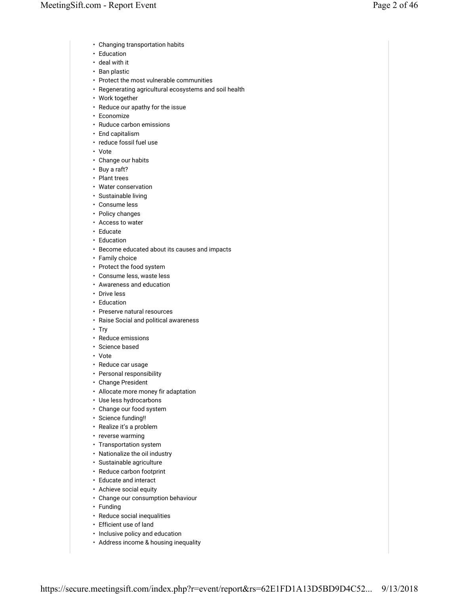- Changing transportation habits
- Education
- deal with it
- Ban plastic
- Protect the most vulnerable communities
- Regenerating agricultural ecosystems and soil health
- Work together
- Reduce our apathy for the issue
- Economize
- Ruduce carbon emissions
- End capitalism
- reduce fossil fuel use
- Vote
- Change our habits
- Buy a raft?
- Plant trees
- Water conservation
- Sustainable living
- Consume less
- Policy changes
- Access to water
- Educate
- Education
- Become educated about its causes and impacts
- Family choice
- Protect the food system
- Consume less, waste less
- Awareness and education
- Drive less
- Education
- Preserve natural resources
- Raise Social and political awareness
- Try
- Reduce emissions
- Science based
- Vote
- Reduce car usage
- Personal responsibility
- Change President
- Allocate more money fir adaptation
- Use less hydrocarbons
- Change our food system
- Science funding!!
- Realize it's a problem
- reverse warming
- Transportation system
- Nationalize the oil industry
- Sustainable agriculture
- Reduce carbon footprint
- Educate and interact
- Achieve social equity
- Change our consumption behaviour
- Funding
- Reduce social inequalities
- Efficient use of land
- Inclusive policy and education
- Address income & housing inequality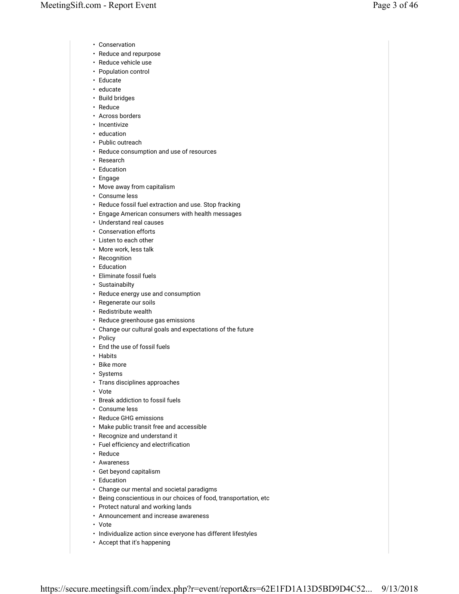- Conservation
- Reduce and repurpose
- Reduce vehicle use
- Population control
- Educate
- educate
- Build bridges
- Reduce
- Across borders
- Incentivize
- education
- Public outreach
- Reduce consumption and use of resources
- Research
- Education
- Engage
- Move away from capitalism
- Consume less
- Reduce fossil fuel extraction and use. Stop fracking
- Engage American consumers with health messages
- Understand real causes
- Conservation efforts
- Listen to each other
- More work, less talk
- Recognition
- Education
- Eliminate fossil fuels
- Sustainabilty
- Reduce energy use and consumption
- Regenerate our soils
- Redistribute wealth
- Reduce greenhouse gas emissions
- Change our cultural goals and expectations of the future
- Policy
- End the use of fossil fuels
- Habits
- Bike more
- Systems
- Trans disciplines approaches
- Vote
- Break addiction to fossil fuels
- Consume less
- Reduce GHG emissions
- Make public transit free and accessible
- Recognize and understand it
- Fuel efficiency and electrification
- Reduce
- Awareness
- Get beyond capitalism
- Education
- Change our mental and societal paradigms
- Being conscientious in our choices of food, transportation, etc
- Protect natural and working lands
- Announcement and increase awareness
- Vote
- Individualize action since everyone has different lifestyles
- Accept that it's happening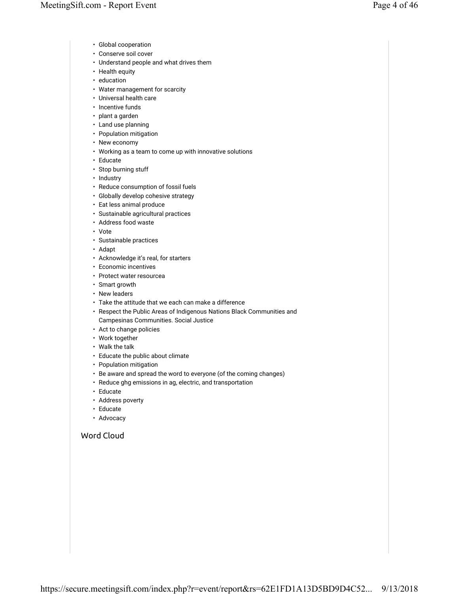- Global cooperation
- Conserve soil cover
- Understand people and what drives them
- Health equity
- education
- Water management for scarcity
- Universal health care
- Incentive funds
- plant a garden
- Land use planning
- Population mitigation
- New economy
- Working as a team to come up with innovative solutions
- Educate
- Stop burning stuff
- Industry
- Reduce consumption of fossil fuels
- Globally develop cohesive strategy
- Eat less animal produce
- Sustainable agricultural practices
- Address food waste
- Vote
- Sustainable practices
- Adapt
- Acknowledge it's real, for starters
- Economic incentives
- Protect water resourcea
- Smart growth
- New leaders
- Take the attitude that we each can make a difference
- Respect the Public Areas of Indigenous Nations Black Communities and Campesinas Communities. Social Justice
- Act to change policies
- Work together
- Walk the talk
- Educate the public about climate
- Population mitigation
- Be aware and spread the word to everyone (of the coming changes)
- Reduce ghg emissions in ag, electric, and transportation
- Educate
- Address poverty
- Educate
- Advocacy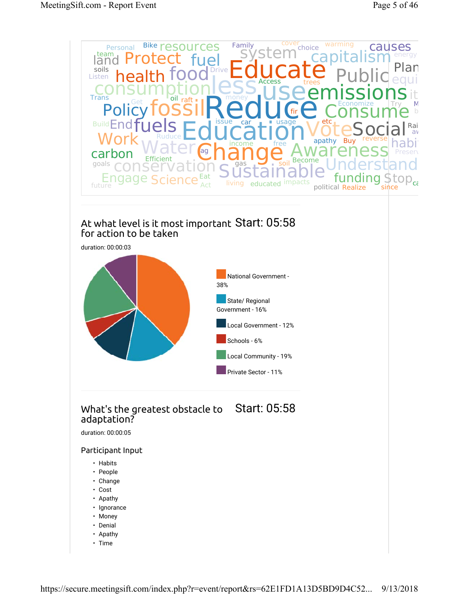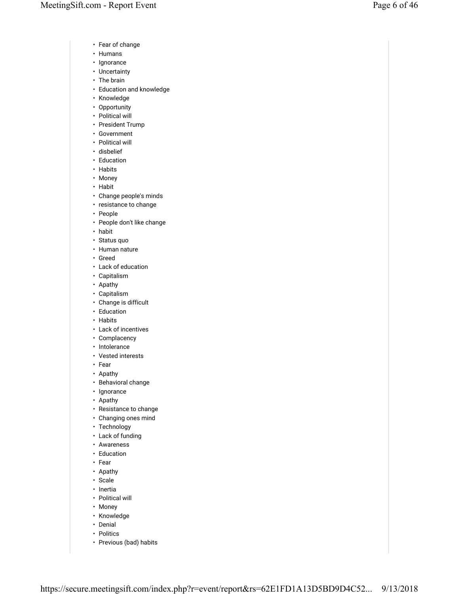- Fear of change
- Humans
- Ignorance
- Uncertainty
- The brain
- Education and knowledge
- Knowledge
- Opportunity
- Political will
- President Trump
- Government
- Political will
- disbelief
- Education
- Habits
- Money
- Habit
- Change people's minds
- resistance to change
- People
- People don't like change
- habit
- Status quo
- Human nature
- Greed
- Lack of education
- Capitalism
- Apathy
- Capitalism
- Change is difficult
- Education
- Habits
- Lack of incentives
- Complacency
- Intolerance
- Vested interests
- Fear
- Apathy
- Behavioral change
- Ignorance
- Apathy
- Resistance to change
- Changing ones mind
- Technology
- Lack of funding
- Awareness
- Education
- Fear
- Apathy
- Scale
- Inertia
- Political will
- Money
- Knowledge
- Denial
- Politics
- Previous (bad) habits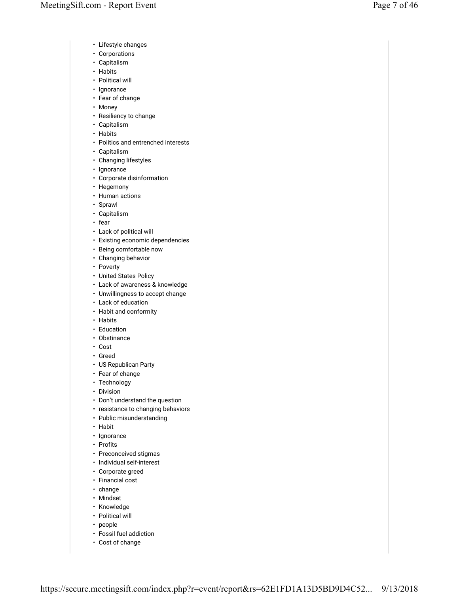- Lifestyle changes
- Corporations
- Capitalism
- Habits
- Political will
- Ignorance
- Fear of change
- Money
- Resiliency to change
- Capitalism
- Habits
- Politics and entrenched interests
- Capitalism
- Changing lifestyles
- Ignorance
- Corporate disinformation
- Hegemony
- Human actions
- Sprawl
- Capitalism
- fear
- Lack of political will
- Existing economic dependencies
- Being comfortable now
- Changing behavior
- Poverty
- United States Policy
- Lack of awareness & knowledge
- Unwillingness to accept change
- Lack of education
- Habit and conformity
- Habits
- Education
- Obstinance
- Cost
- Greed
- US Republican Party
- Fear of change
- Technology
- Division
- Don't understand the question
- resistance to changing behaviors
- Public misunderstanding
- Habit
- Ignorance
- Profits
- Preconceived stigmas
- Individual self-interest
- Corporate greed
- Financial cost
- change
- Mindset
- Knowledge
- Political will
- people
- Fossil fuel addiction
- Cost of change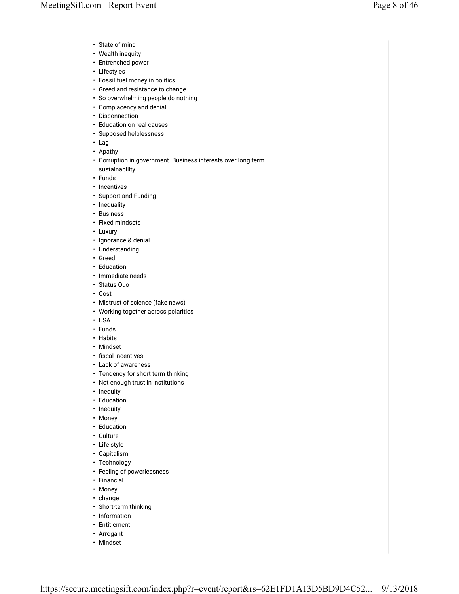- State of mind
- Wealth inequity
- Entrenched power
- Lifestyles
- Fossil fuel money in politics
- Greed and resistance to change
- So overwhelming people do nothing
- Complacency and denial
- Disconnection
- Education on real causes
- Supposed helplessness
- Lag
- Apathy
- Corruption in government. Business interests over long term sustainability
- Funds
- Incentives
- Support and Funding
- Inequality
- Business
- Fixed mindsets
- Luxury
- Ignorance & denial
- Understanding
- Greed
- Education
- Immediate needs
- Status Quo
- Cost
- Mistrust of science (fake news)
- Working together across polarities
- USA
- Funds
- Habits
- Mindset
- fiscal incentives
- Lack of awareness
- Tendency for short term thinking
- Not enough trust in institutions
- Inequity
- Education
- Inequity
- Money
- Education
- Culture
- Life style
- Capitalism
- Technology
- Feeling of powerlessness
- Financial
- Money
- change
- Short-term thinking
- Information
- Entitlement
- Arrogant
- Mindset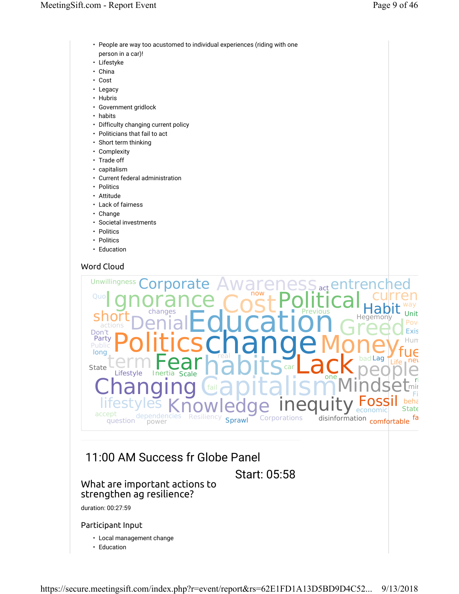- People are way too acustomed to individual experiences (riding with one person in a car)!
- Lifestyke
- China
- Cost
- Legacy
- Hubris
- Government gridlock
- habits
- Difficulty changing current policy
- Politicians that fail to act
- Short term thinking
- Complexity
- Trade off
- capitalism
- Current federal administration
- Politics
- Attitude
- Lack of fairness
- Change
- Societal investments
- Politics
- Politics
- Education



# 11:00 AM Success fr Globe Panel

Start: 05:58

## What are important actions to strengthen ag resilience?

duration: 00:27:59

## Participant Input

- Local management change
- Education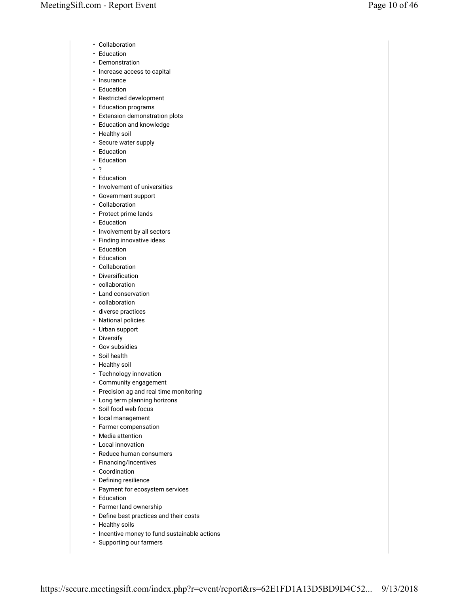- Collaboration
- Education
- Demonstration
- Increase access to capital
- Insurance
- Education
- Restricted development
- Education programs
- Extension demonstration plots
- Education and knowledge
- Healthy soil
- Secure water supply
- Education
- Education
- ?
- Education
- Involvement of universities
- Government support
- Collaboration
- Protect prime lands
- Education
- Involvement by all sectors
- Finding innovative ideas
- Education
- Education
- Collaboration
- Diversification
- collaboration
- Land conservation
- collaboration
- diverse practices
- National policies
- Urban support
- Diversify
- Gov subsidies
- Soil health
- Healthy soil
- Technology innovation
- Community engagement
- Precision ag and real time monitoring
- Long term planning horizons
- Soil food web focus
- local management
- Farmer compensation
- Media attention
- Local innovation
- Reduce human consumers
- Financing/Incentives
- Coordination
- Defining resilience
- Payment for ecosystem services
- Education
- Farmer land ownership
- Define best practices and their costs
- Healthy soils
- Incentive money to fund sustainable actions
- Supporting our farmers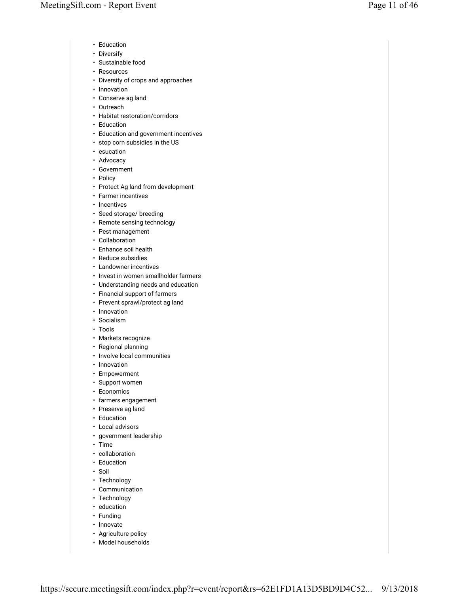- Education
- Diversify
- Sustainable food
- Resources
- Diversity of crops and approaches
- Innovation
- Conserve ag land
- Outreach
- Habitat restoration/corridors
- Education
- Education and government incentives
- stop corn subsidies in the US
- esucation
- Advocacy
- Government
- Policy
- Protect Ag land from development
- Farmer incentives
- Incentives
- Seed storage/ breeding
- Remote sensing technology
- Pest management
- Collaboration
- Enhance soil health
- Reduce subsidies
- Landowner incentives
- Invest in women smallholder farmers
- Understanding needs and education
- Financial support of farmers
- Prevent sprawl/protect ag land
- Innovation
- Socialism
- Tools
- Markets recognize
- Regional planning
- Involve local communities
- Innovation
- Empowerment
- Support women
- Economics
- farmers engagement
- Preserve ag land
- Education
- Local advisors
- government leadership
- Time
- collaboration
- Education
- Soil
- Technology
- Communication
- Technology
- education
- Funding
- Innovate
- Agriculture policy
- Model households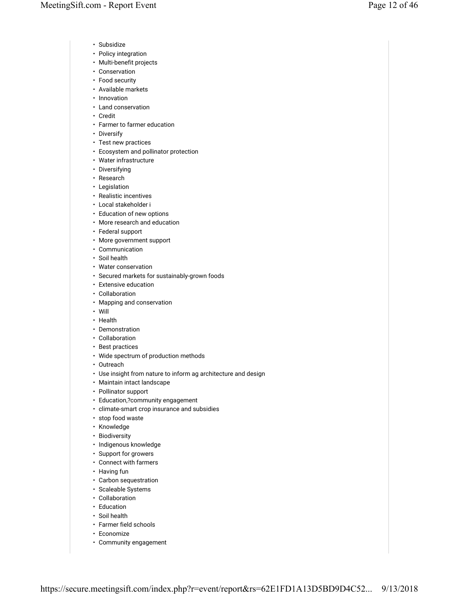- Subsidize
- Policy integration
- Multi-benefit projects
- Conservation
- Food security
- Available markets
- Innovation
- Land conservation
- Credit
- Farmer to farmer education
- Diversify
- Test new practices
- Ecosystem and pollinator protection
- Water infrastructure
- Diversifying
- Research
- Legislation
- Realistic incentives
- Local stakeholder i
- Education of new options
- More research and education
- Federal support
- More government support
- Communication
- Soil health
- Water conservation
- Secured markets for sustainably-grown foods
- Extensive education
- Collaboration
- Mapping and conservation
- Will
- Health
- Demonstration
- Collaboration
- Best practices
- Wide spectrum of production methods
- Outreach
- Use insight from nature to inform ag architecture and design
- Maintain intact landscape
- Pollinator support
- Education,?community engagement
- climate-smart crop insurance and subsidies
- stop food waste
- Knowledge
- Biodiversity
- Indigenous knowledge
- Support for growers
- Connect with farmers
- Having fun
- Carbon sequestration
- Scaleable Systems
- Collaboration
- Education
- Soil health
- Farmer field schools
- Economize
- Community engagement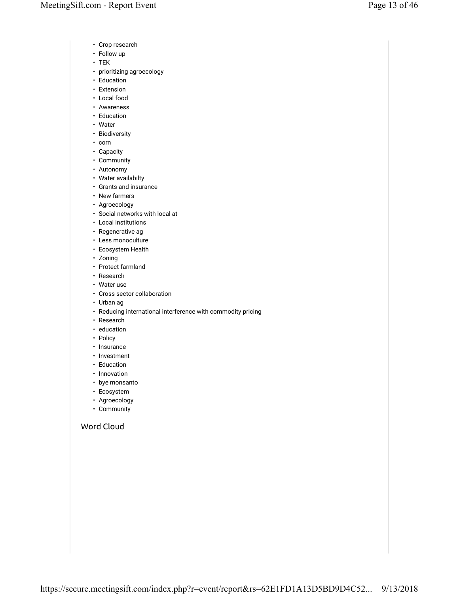- Crop research
- Follow up
- TEK
- prioritizing agroecology
- Education
- Extension
- Local food
- Awareness
- Education
- Water
- Biodiversity
- corn
- Capacity
- Community
- Autonomy
- Water availabilty
- Grants and insurance
- New farmers
- Agroecology
- Social networks with local at
- Local institutions
- Regenerative ag • Less monoculture
- Ecosystem Health
- Zoning
- Protect farmland
- Research
- Water use
- Cross sector collaboration
- Urban ag
- Reducing international interference with commodity pricing
- Research
- education
- Policy
- Insurance
- Investment
- Education
- Innovation
- bye monsanto
- Ecosystem
- Agroecology
- Community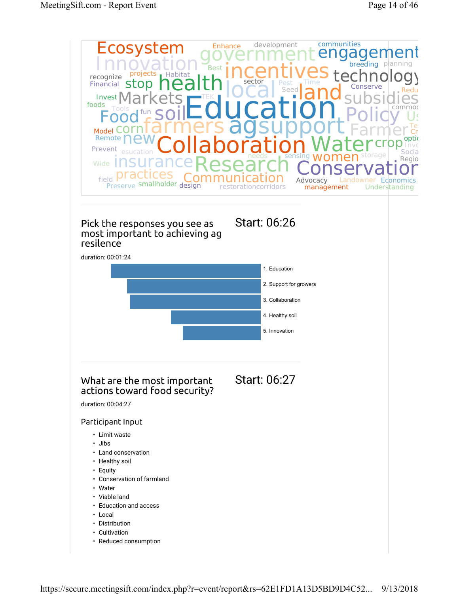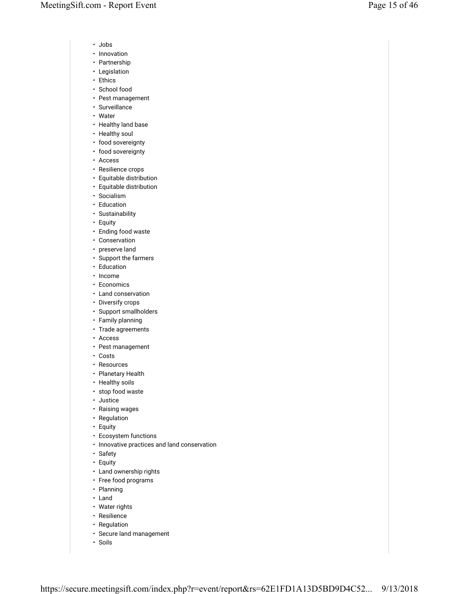- Jobs
- Innovation
- Partnership
- Legislation
- Ethics
- School food
- Pest management
- Surveillance
- Water
- Healthy land base
- Healthy soul
- food sovereignty
- food sovereignty
- Access
- Resilience crops
- Equitable distribution
- Equitable distribution
- Socialism
- Education
- Sustainability
- Equity
- Ending food waste
- Conservation
- preserve land
- Support the farmers
- Education
- Income
- Economics
- Land conservation
- Diversify crops
- Support smallholders
- Family planning
- Trade agreements
- Access
- Pest management
- Costs
- Resources
- Planetary Health
- Healthy soils
- stop food waste
- Justice
- Raising wages
- Regulation
- Equity
- Ecosystem functions
- Innovative practices and land conservation
- Safety
- Equity
- Land ownership rights
- Free food programs
- Planning
- Land
- Water rights
- Resilience
- Regulation
- Secure land management
- Soils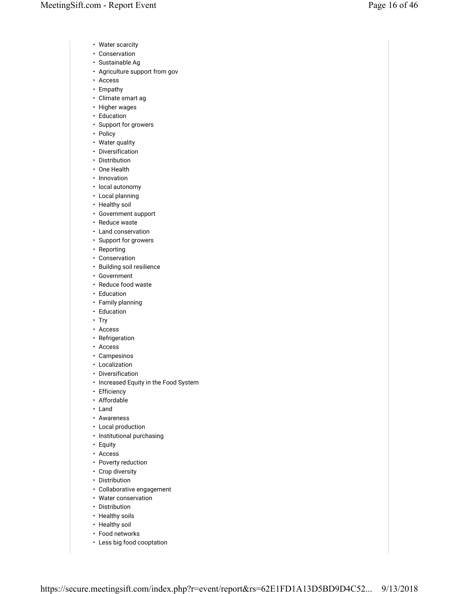- Water scarcity
- Conservation
- Sustainable Ag
- Agriculture support from gov
- Access
- Empathy
- Climate smart ag
- Higher wages
- Education
- Support for growers
- Policy
- Water quality
- Diversification
- Distribution
- One Health
- Innovation
- local autonomy
- Local planning
- Healthy soil
- Government support
- Reduce waste
- Land conservation
- Support for growers
- Reporting
- Conservation
- Building soil resilience
- Government
- Reduce food waste
- Education
- Family planning
- Education
- Try
- Access
- Refrigeration
- Access
- Campesinos
- Localization
- Diversification
- Increased Equity in the Food System
- Efficiency
- Affordable
- Land
- Awareness
- Local production
- Institutional purchasing
- Equity
- Access
- Poverty reduction
- Crop diversity
- Distribution
- Collaborative engagement
- Water conservation
- Distribution
- Healthy soils
- Healthy soil
- Food networks
- Less big food cooptation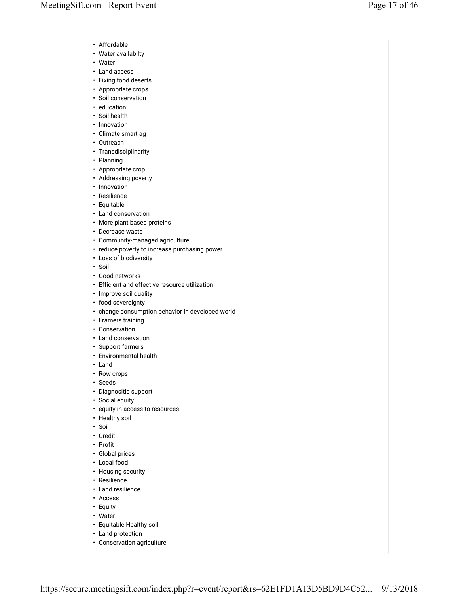- Affordable
- Water availabilty
- Water
- Land access
- Fixing food deserts
- Appropriate crops
- Soil conservation
- education
- Soil health
- Innovation
- Climate smart ag
- Outreach
- Transdisciplinarity • Planning
- 
- Appropriate crop
- Addressing poverty
- Innovation
- Resilience
- Equitable
- Land conservation
- More plant based proteins
- Decrease waste
- Community-managed agriculture
- reduce poverty to increase purchasing power
- Loss of biodiversity
- Soil
- Good networks
- Efficient and effective resource utilization
- Improve soil quality
- food sovereignty
- change consumption behavior in developed world
- Framers training
- Conservation
- Land conservation
- Support farmers
- Environmental health
- Land
- Row crops
- Seeds
- Diagnositic support
- Social equity
- equity in access to resources
- Healthy soil
- Soi
- Credit
- Profit
- Global prices
- Local food
- Housing security
- Resilience
- Land resilience
- Access
- Equity
- Water
- Equitable Healthy soil
- Land protection
- Conservation agriculture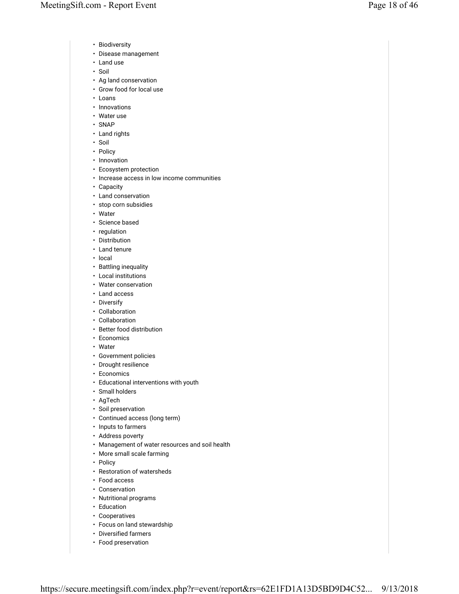- Biodiversity
- Disease management
- Land use
- Soil
- Ag land conservation
- Grow food for local use
- Loans
- Innovations
- Water use
- SNAP
- Land rights
- Soil
- Policy
- Innovation
- Ecosystem protection
- Increase access in low income communities
- Capacity
- Land conservation
- stop corn subsidies
- Water
- Science based
- regulation
- Distribution
- Land tenure
- local
- Battling inequality
- Local institutions
- Water conservation
- Land access
- Diversify
- Collaboration
- Collaboration
- Better food distribution
- Economics
- Water
- Government policies
- Drought resilience
- Economics
- Educational interventions with youth
- Small holders
- AgTech
- Soil preservation
- Continued access (long term)
- Inputs to farmers
- Address poverty
- Management of water resources and soil health
- More small scale farming
- Policy
- Restoration of watersheds
- Food access
- Conservation
- Nutritional programs
- Education
- Cooperatives
- Focus on land stewardship
- Diversified farmers
- Food preservation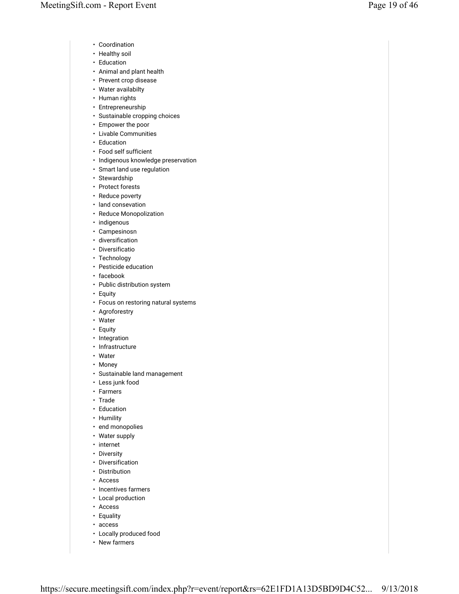- Coordination
- Healthy soil
- Education
- Animal and plant health
- Prevent crop disease
- Water availabilty
- Human rights
- Entrepreneurship
- Sustainable cropping choices
- Empower the poor
- Livable Communities
- Education
- Food self sufficient
- Indigenous knowledge preservation
- Smart land use regulation
- Stewardship
- Protect forests
- Reduce poverty
- land consevation
- Reduce Monopolization
- indigenous
- Campesinosn
- diversification
- Diversificatio
- Technology
- Pesticide education
- facebook
- Public distribution system
- Equity
- Focus on restoring natural systems
- Agroforestry
- Water
- Equity
- Integration
- Infrastructure
- Water
- Money
- Sustainable land management
- Less junk food
- Farmers
- Trade
- Education
- Humility
- end monopolies
- Water supply
- internet
- Diversity
- Diversification
- Distribution
- Access
- Incentives farmers
- Local production
- Access
- Equality
- access
- Locally produced food
- New farmers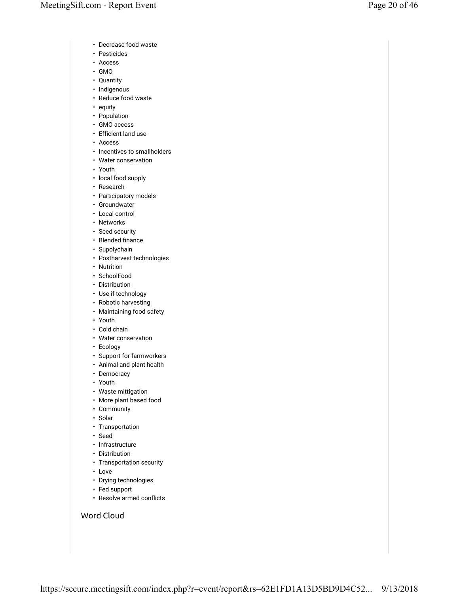- Decrease food waste
- Pesticides
- Access
- GMO
- Quantity
- Indigenous
- Reduce food waste
- equity
- Population
- GMO access
- Efficient land use
- Access
- Incentives to smallholders
- Water conservation
- Youth
- local food supply
- Research
- Participatory models
- Groundwater
- Local control
- Networks
- Seed security
- Blended finance
- Supolychain
- Postharvest technologies
- Nutrition
- SchoolFood
- Distribution
- Use if technology
- Robotic harvesting
- Maintaining food safety
- Youth
- Cold chain
- Water conservation
- Ecology
- Support for farmworkers
- Animal and plant health
- Democracy
- Youth
- Waste mittigation
- More plant based food
- Community
- Solar
- Transportation
- Seed
- Infrastructure
- Distribution
- Transportation security
- Love
- Drying technologies
- Fed support
- Resolve armed conflicts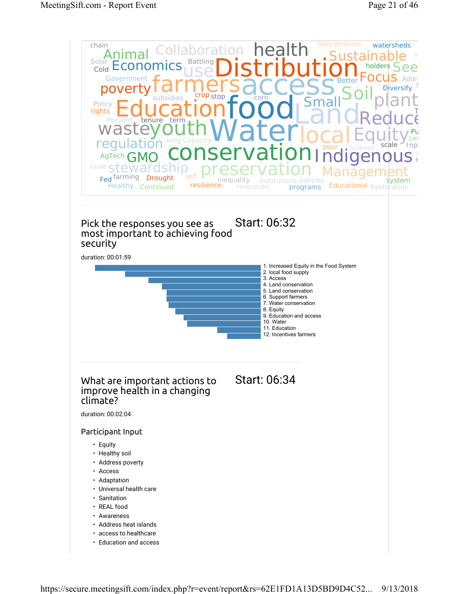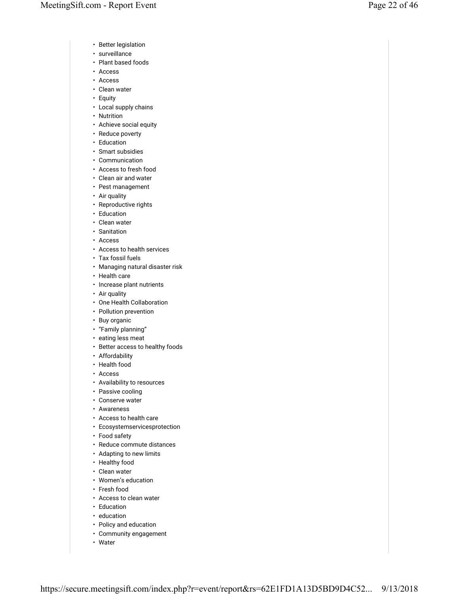- Better legislation
- surveillance
- Plant based foods
- Access
- Access
- Clean water
- Equity
- Local supply chains
- Nutrition
- Achieve social equity
- Reduce poverty
- Education
- Smart subsidies
- Communication
- Access to fresh food
- Clean air and water
- Pest management
- Air quality
- Reproductive rights
- Education
- Clean water
- Sanitation
- Access
- Access to health services
- Tax fossil fuels
- Managing natural disaster risk
- Health care
- Increase plant nutrients
- Air quality
- One Health Collaboration
- Pollution prevention
- Buy organic
- "Family planning"
- eating less meat
- Better access to healthy foods
- Affordability
- Health food
- Access
- Availability to resources
- Passive cooling
- Conserve water
- Awareness
- Access to health care
- Ecosystemservicesprotection
- Food safety
- Reduce commute distances
- Adapting to new limits
- Healthy food
- Clean water
- Women's education
- Fresh food
- Access to clean water
- Education
- education
- Policy and education
- Community engagement
- Water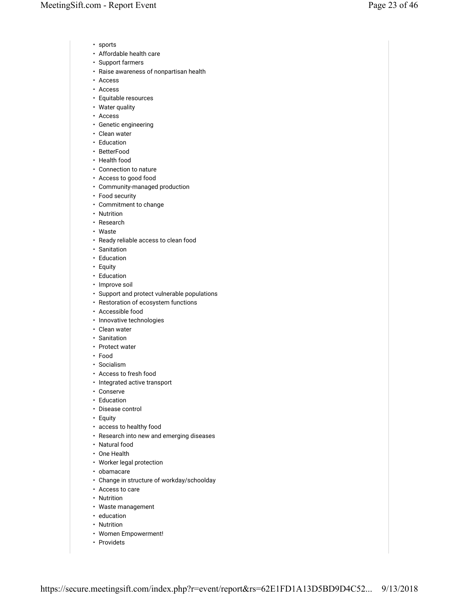- sports
- Affordable health care
- Support farmers
- Raise awareness of nonpartisan health
- Access
- Access
- Equitable resources
- Water quality
- Access
- Genetic engineering
- Clean water
- Education
- BetterFood
- Health food
- Connection to nature
- Access to good food
- Community-managed production
- Food security
- Commitment to change
- Nutrition
- Research
- Waste
- Ready reliable access to clean food
- Sanitation
- Education
- Equity
- Education
- Improve soil
- Support and protect vulnerable populations
- Restoration of ecosystem functions
- Accessible food
- Innovative technologies
- Clean water
- Sanitation
- Protect water
- Food
- Socialism
- Access to fresh food
- Integrated active transport
- Conserve
- Education
- Disease control
- Equity
- access to healthy food
- Research into new and emerging diseases
- Natural food
- One Health
- Worker legal protection
- obamacare
- Change in structure of workday/schoolday
- Access to care
- Nutrition
- Waste management
- education
- Nutrition
- Women Empowerment!
- Providets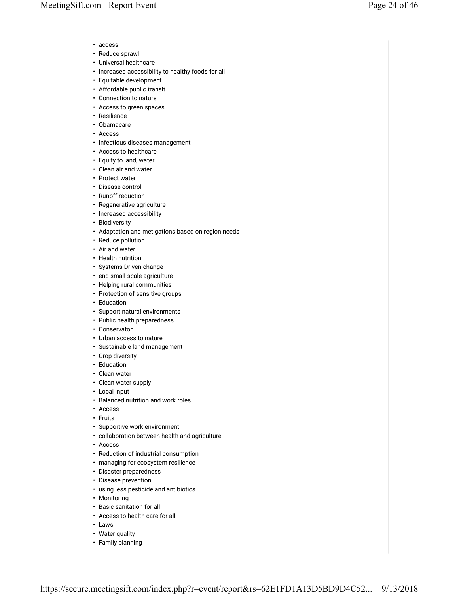- access
- Reduce sprawl
- Universal healthcare
- Increased accessibility to healthy foods for all
- Equitable development
- Affordable public transit
- Connection to nature
- Access to green spaces
- Resilience
- Obamacare
- Access
- Infectious diseases management
- Access to healthcare
- Equity to land, water
- Clean air and water
- Protect water
- Disease control
- Runoff reduction
- Regenerative agriculture
- Increased accessibility
- Biodiversity
- Adaptation and metigations based on region needs
- Reduce pollution
- Air and water
- Health nutrition
- Systems Driven change
- end small-scale agriculture
- Helping rural communities
- Protection of sensitive groups
- Education
- Support natural environments
- Public health preparedness
- Conservaton
- Urban access to nature
- Sustainable land management
- Crop diversity
- Education
- Clean water
- Clean water supply
- Local input
- Balanced nutrition and work roles
- Access
- Fruits
- Supportive work environment
- collaboration between health and agriculture
- Access
- Reduction of industrial consumption
- managing for ecosystem resilience
- Disaster preparedness
- Disease prevention
- using less pesticide and antibiotics
- Monitoring
- Basic sanitation for all
- Access to health care for all
- Laws
- Water quality
- Family planning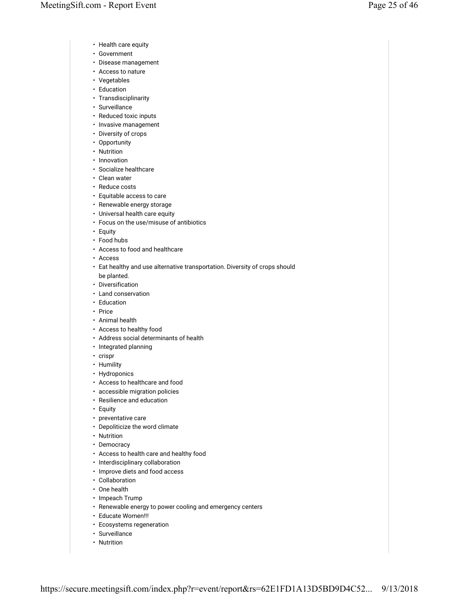- Health care equity
- Government
- Disease management
- Access to nature
- Vegetables
- Education
- Transdisciplinarity
- Surveillance
- Reduced toxic inputs
- Invasive management
- Diversity of crops
- Opportunity • Nutrition
- 
- Innovation
- Socialize healthcare
- Clean water
- Reduce costs
- Equitable access to care
- Renewable energy storage
- Universal health care equity
- Focus on the use/misuse of antibiotics
- Equity
- Food hubs
- Access to food and healthcare
- Access
- Eat healthy and use alternative transportation. Diversity of crops should be planted.
- Diversification
- Land conservation
- Education
- Price
- Animal health
- Access to healthy food
- Address social determinants of health
- Integrated planning
- crispr
- Humility
- Hydroponics
- Access to healthcare and food
- accessible migration policies
- Resilience and education
- Equity
- preventative care
- Depoliticize the word climate
- Nutrition
- Democracy
- Access to health care and healthy food
- Interdisciplinary collaboration
- Improve diets and food access
- Collaboration
- One health
- Impeach Trump
- Renewable energy to power cooling and emergency centers
- Educate Women!!!
- Ecosystems regeneration
- Surveillance
- Nutrition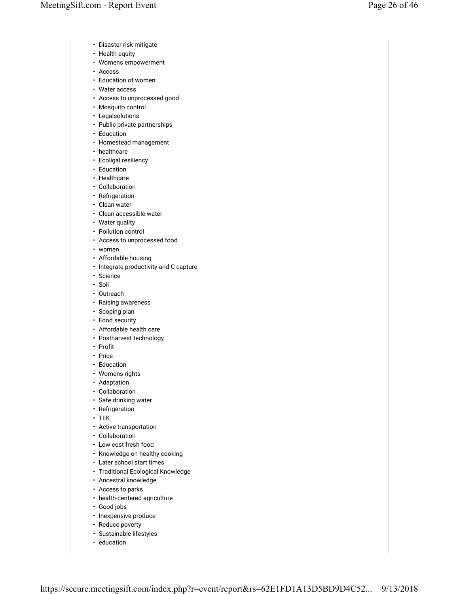- Disaster risk mitigate
- Health equity
- Womens empowerment
- Access
- Education of women
- Water access
- Access to unprocessed good
- Mosquito control
- Legalsolutions
- Public private partnerships
- Education
- Homestead management
- healthcare
- Ecoligal resiliency
- Education
- Healthcare
- Collaboration
- Refrigeration
- Clean water
- Clean accessible water
- Water quality
- Pollution control
- Access to unprocessed food
- women
- Affordable housing
- Integrate productivity and C capture
- Science
- Soil
- Outreach
- Raising awareness
- Scoping plan
- Food security
- Affordable health care
- Postharvest technology
- Profit
- Price
- Education
- Womens rights
- Adaptation
- Collaboration
- Safe drinking water
- Refrigeration
- TEK
- Active transportation
- Collaboration
- Low cost fresh food
- Knowledge on healthy cooking
- Later school start times
- Traditional Ecological Knowledge
- Ancestral knowledge
- Access to parks
- health-centered agriculture
- Good jobs
- Inexpensive produce
- Reduce poverty
- Sustainable lifestyles
- education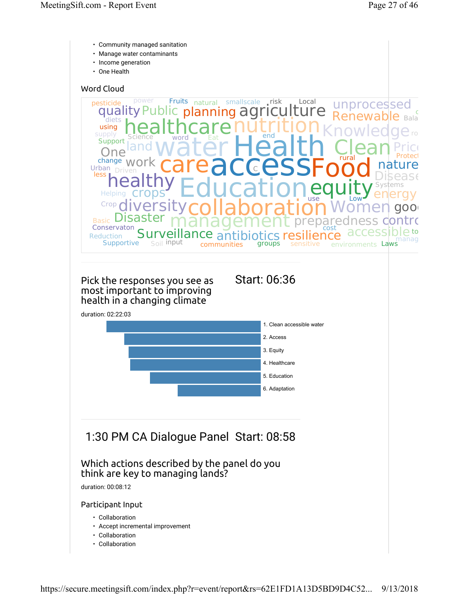- Community managed sanitation
- Manage water contaminants
- Income generation
- One Health

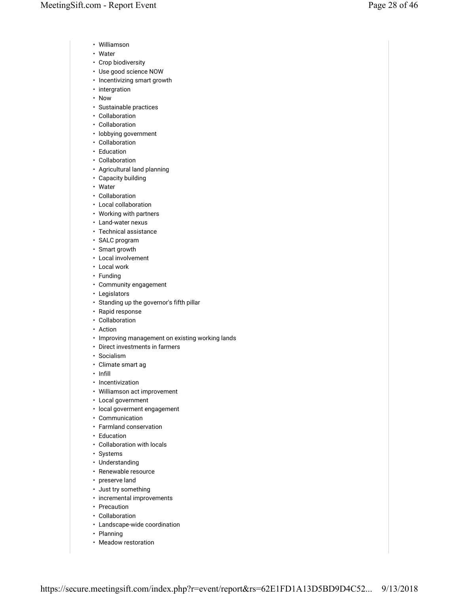- Williamson
- Water
- Crop biodiversity
- Use good science NOW
- Incentivizing smart growth
- intergration
- Now
- Sustainable practices
- Collaboration
- Collaboration
- lobbying government
- Collaboration
- Education
- Collaboration
- Agricultural land planning
- Capacity building • Water
- 
- Collaboration
- Local collaboration
- Working with partners
- Land-water nexus • Technical assistance
- 
- SALC program • Smart growth
- Local involvement
- Local work
- Funding
- Community engagement
- Legislators
- Standing up the governor's fifth pillar
- Rapid response
- Collaboration
- Action
- Improving management on existing working lands
- Direct investments in farmers
- Socialism
- Climate smart ag
- Infill
- Incentivization
- Williamson act improvement
- Local government
- local goverment engagement
- Communication
- Farmland conservation
- Education
- Collaboration with locals
- Systems
- Understanding
- Renewable resource
- preserve land
- Just try something
- incremental improvements
- Precaution
- Collaboration
- Landscape-wide coordination
- Planning
- Meadow restoration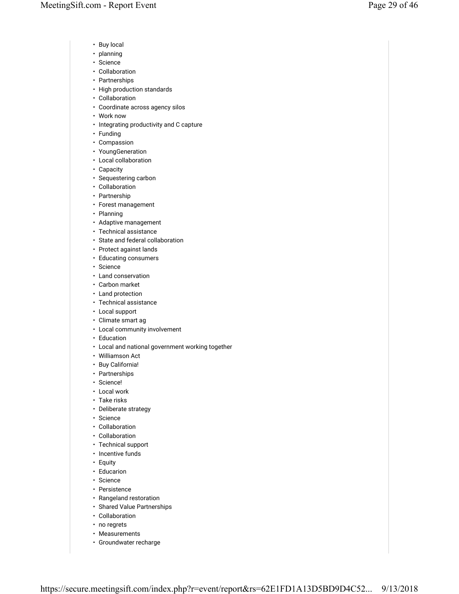- Buy local
- planning
- Science
- Collaboration
- Partnerships
- High production standards
- Collaboration
- Coordinate across agency silos
- Work now
- Integrating productivity and C capture
- Funding
- Compassion
- YoungGeneration
- Local collaboration
- Capacity
- Sequestering carbon
- Collaboration
- Partnership
- Forest management
- Planning
- Adaptive management
- Technical assistance
- State and federal collaboration
- Protect against lands
- Educating consumers
- Science
- Land conservation
- Carbon market
- Land protection
- Technical assistance
- Local support
- Climate smart ag
- Local community involvement
- Education
- Local and national government working together
- Williamson Act
- Buy California!
- Partnerships
- Science!
- Local work
- Take risks
- Deliberate strategy
- Science
- Collaboration
- Collaboration
- Technical support
- Incentive funds
- Equity
- Educarion
- Science
- Persistence
- Rangeland restoration
- Shared Value Partnerships
- Collaboration
- no regrets
- Measurements
- Groundwater recharge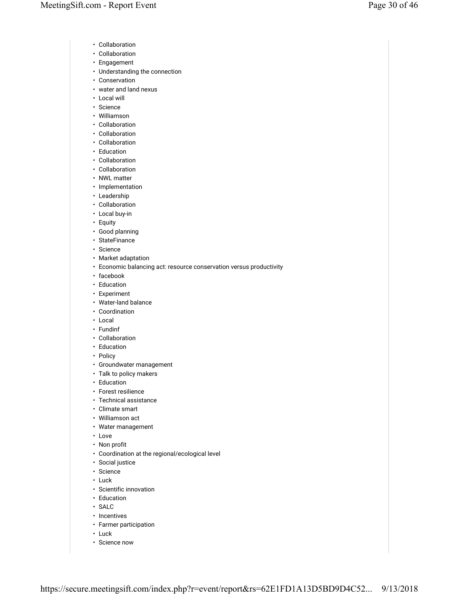- Collaboration
- Collaboration
- Engagement
- Understanding the connection
- Conservation
- water and land nexus
- Local will
- Science
- Williamson
- Collaboration
- Collaboration • Collaboration
- Education
- Collaboration
- Collaboration
- NWL matter
- Implementation
- Leadership
- Collaboration
- Local buy-in
- Equity
- Good planning
- StateFinance
- Science
- Market adaptation
- Economic balancing act: resource conservation versus productivity
- facebook
- Education
- Experiment
- Water-land balance
- Coordination
- Local
- Fundinf
- Collaboration
- Education
- Policy
- Groundwater management
- Talk to policy makers
- Education
- Forest resilience
- Technical assistance
- Climate smart
- Williamson act
- Water management
- Love
- Non profit
- Coordination at the regional/ecological level
- Social justice
- Science
- Luck
- Scientific innovation
- Education
- SALC
- Incentives
- Farmer participation
- Luck
- Science now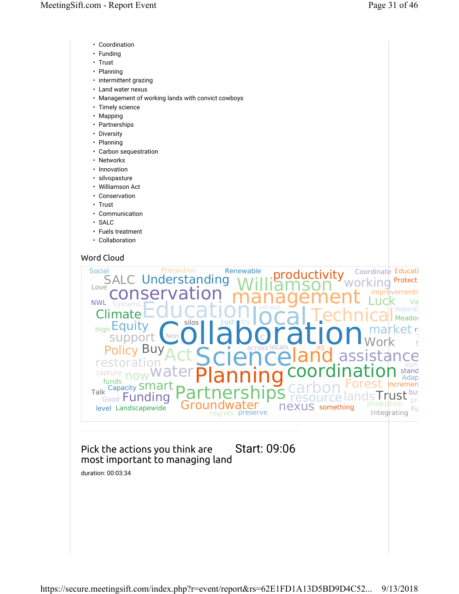- Coordination
- Funding
- Trust
- Planning
- intermittent grazing
- Land water nexus
- Management of working lands with convict cowboys
- Timely science
- Mapping
- Partnerships
- Diversity
- Planning
- Carbon sequestration
- Networks
- Innovation
- silvopasture
- Williamson Act
- Conservation
- Trust
- Communication
- SALC
- Fuels treatment
- Collaboration



## Pick the actions you think are Start: 09:06 most important to managing land

duration: 00:03:34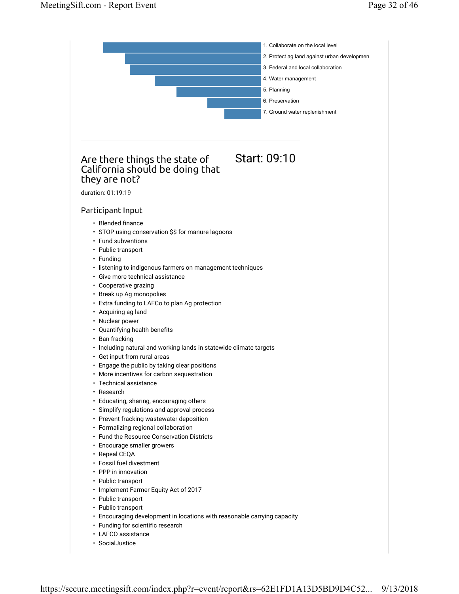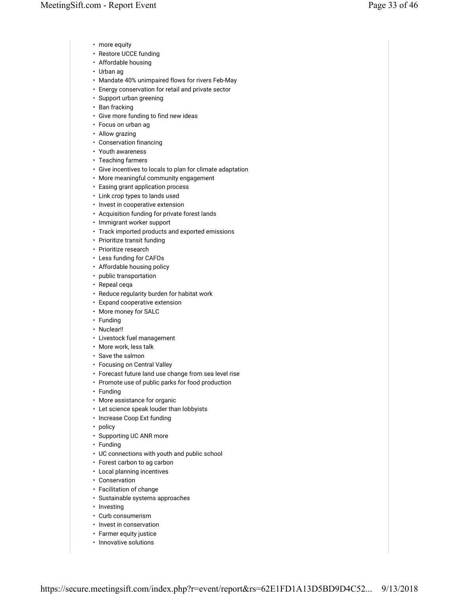- more equity
- Restore UCCE funding
- Affordable housing
- Urban ag
- Mandate 40% unimpaired flows for rivers Feb-May
- Energy conservation for retail and private sector
- Support urban greening
- Ban fracking
- Give more funding to find new ideas
- Focus on urban ag
- Allow grazing
- Conservation financing
- Youth awareness
- Teaching farmers
- Give incentives to locals to plan for climate adaptation
- More meaningful community engagement
- Easing grant application process
- Link crop types to lands used
- Invest in cooperative extension
- Acquisition funding for private forest lands
- Immigrant worker support
- Track imported products and exported emissions
- Prioritize transit funding
- Prioritize research
- Less funding for CAFOs
- Affordable housing policy
- public transportation
- Repeal ceqa
- Reduce regularity burden for habitat work
- Expand cooperative extension
- More money for SALC
- Funding
- Nuclear!!
- Livestock fuel management
- More work, less talk
- Save the salmon
- Focusing on Central Valley
- Forecast future land use change from sea level rise
- Promote use of public parks for food production
- Funding
- More assistance for organic
- Let science speak louder than lobbyists
- Increase Coop Ext funding
- policy
- Supporting UC ANR more
- Funding
- UC connections with youth and public school
- Forest carbon to ag carbon
- Local planning incentives
- Conservation
- Facilitation of change
- Sustainable systems approaches
- Investing
- Curb consumerism
- Invest in conservation
- Farmer equity justice
- Innovative solutions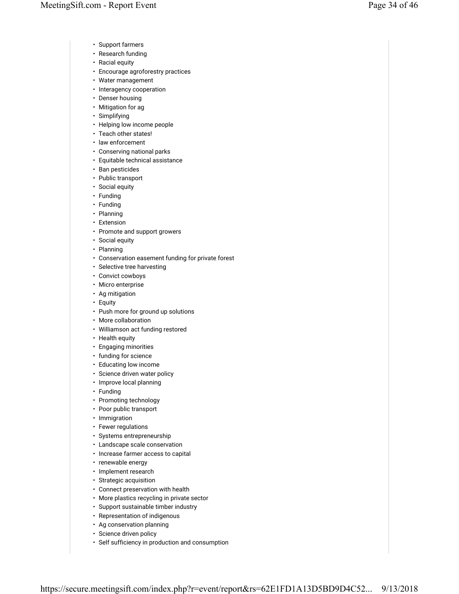- Support farmers
- Research funding
- Racial equity
- Encourage agroforestry practices
- Water management
- Interagency cooperation
- Denser housing
- Mitigation for ag
- Simplifying
- Helping low income people
- Teach other states!
- law enforcement
- Conserving national parks
- Equitable technical assistance
- Ban pesticides
- Public transport
- Social equity
- Funding
- Funding
- Planning
- Extension
- Promote and support growers
- Social equity
- Planning
- Conservation easement funding for private forest
- Selective tree harvesting
- Convict cowboys
- Micro enterprise
- Ag mitigation
- Equity
- Push more for ground up solutions
- More collaboration
- Williamson act funding restored
- Health equity
- Engaging minorities
- funding for science
- Educating low income
- Science driven water policy
- Improve local planning
- Funding
- Promoting technology
- Poor public transport
- Immigration
- Fewer regulations
- Systems entrepreneurship
- Landscape scale conservation
- Increase farmer access to capital
- renewable energy
- Implement research
- Strategic acquisition
- Connect preservation with health
- More plastics recycling in private sector
- Support sustainable timber industry
- Representation of indigenous
- Ag conservation planning
- Science driven policy
- Self sufficiency in production and consumption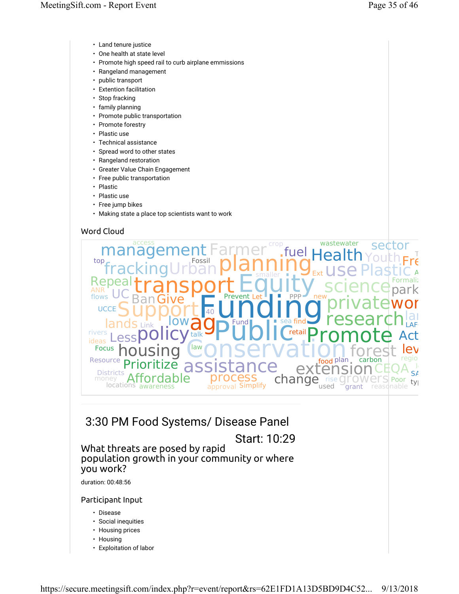- Land tenure justice
- One health at state level
- Promote high speed rail to curb airplane emmissions
- Rangeland management
- public transport
- Extention facilitation
- Stop fracking
- family planning
- Promote public transportation
- Promote forestry
- Plastic use
- Technical assistance
- Spread word to other states
- Rangeland restoration
- Greater Value Chain Engagement
- Free public transportation
- Plastic
- Plastic use
- Free jump bikes
- Making state a place top scientists want to work



## 3:30 PM Food Systems/ Disease Panel

Start: 10:29

## What threats are posed by rapid population growth in your community or where you work?

duration: 00:48:56

#### Participant Input

- Disease
- Social inequities
- Housing prices
- Housing
- Exploitation of labor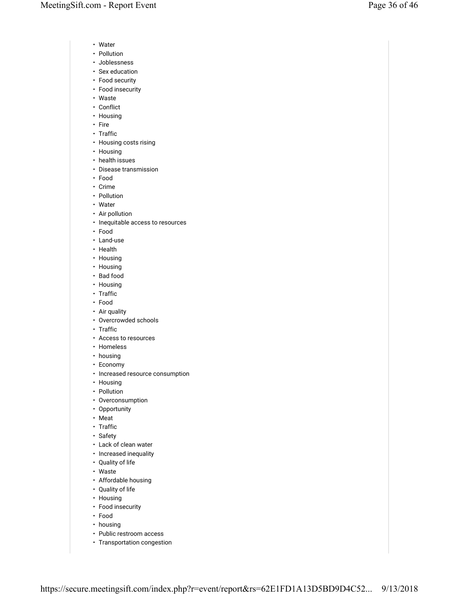- Water
- Pollution
- Joblessness
- Sex education
- Food security
- Food insecurity
- Waste
- Conflict
- Housing
- Fire
- Traffic
- Housing costs rising
- Housing
- health issues
- Disease transmission
- Food
- Crime
- Pollution
- Water
- Air pollution
- Inequitable access to resources
- Food
- Land-use
- Health
- Housing
- Housing
- Bad food
- Housing
- Traffic
- Food
- Air quality
- Overcrowded schools
- Traffic
- Access to resources
- Homeless
- housing
- Economy
- Increased resource consumption
- Housing
- Pollution
- Overconsumption
- Opportunity
- Meat
- Traffic
- Safety
- Lack of clean water
- Increased inequality
- Quality of life
- Waste
- Affordable housing
- Quality of life
- Housing
- Food insecurity
- Food
- housing
- Public restroom access
- Transportation congestion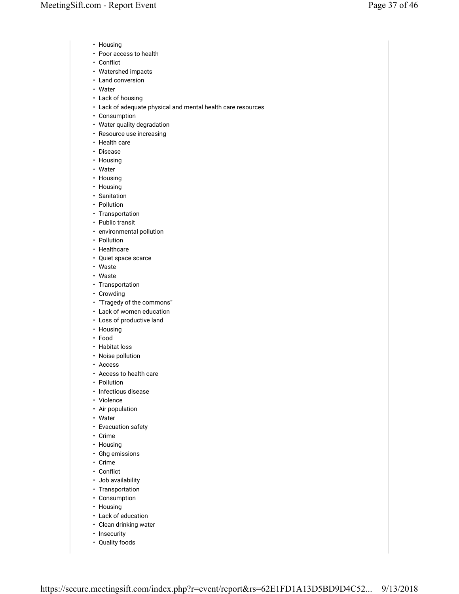- Housing
- Poor access to health
- Conflict
- Watershed impacts
- Land conversion
- Water
- Lack of housing
- Lack of adequate physical and mental health care resources
- Consumption
- Water quality degradation
- Resource use increasing
- Health care
- Disease
- Housing
- Water
- Housing
- Housing
- Sanitation
- Pollution
- Transportation
- Public transit
- environmental pollution
- Pollution
- Healthcare
- Quiet space scarce
- Waste
- Waste
- Transportation
- Crowding
- "Tragedy of the commons"
- Lack of women education
- Loss of productive land
- Housing
- Food
- Habitat loss
- Noise pollution
- Access
- Access to health care
- Pollution
- Infectious disease
- Violence
- Air population
- Water
- Evacuation safety
- Crime
- Housing
- Ghg emissions
- Crime
- Conflict
- Job availability
- Transportation
- Consumption
- Housing
- Lack of education
- Clean drinking water
- Insecurity
- Quality foods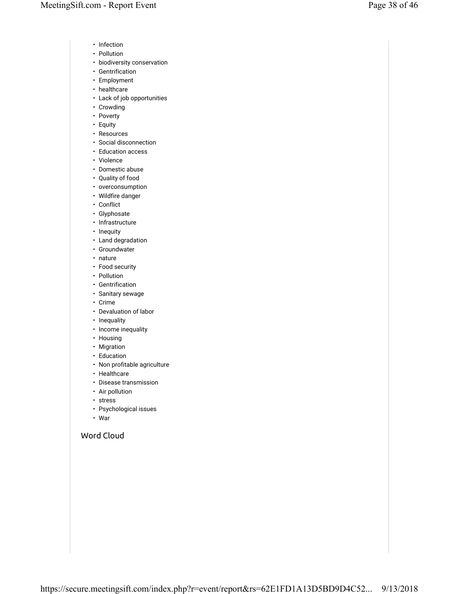- Infection
- Pollution
- biodiversity conservation
- Gentrification
- Employment
- healthcare
- Lack of job opportunities
- Crowding
- Poverty
- Equity
- Resources
- Social disconnection
- Education access
- Violence
- Domestic abuse
- Quality of food
- overconsumption
- Wildfire danger
- Conflict
- Glyphosate
- Infrastructure
- Inequity
- Land degradation
- Groundwater
- nature
- Food security
- Pollution
- Gentrification
- Sanitary sewage
- Crime
- Devaluation of labor
- Inequality
- Income inequality
- Housing
- Migration
- Education
- Non profitable agriculture
- Healthcare
- Disease transmission
- Air pollution
- stress
- Psychological issues
- War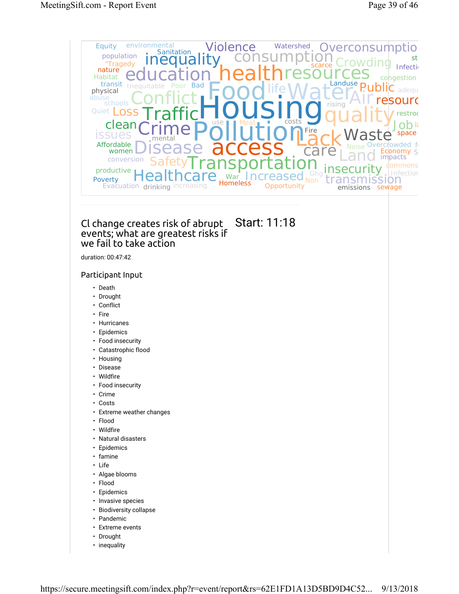

• inequality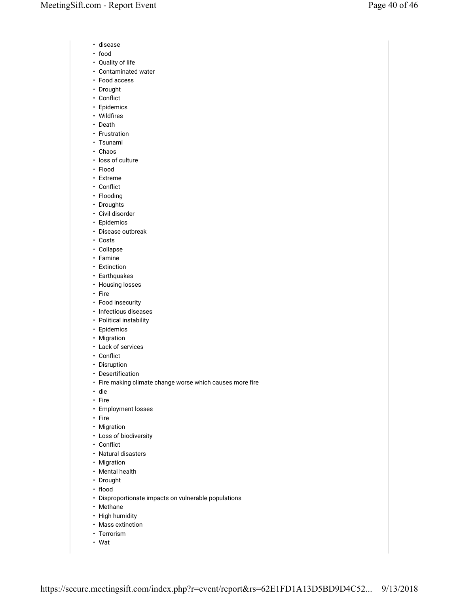- disease
- food
- Quality of life
- Contaminated water
- Food access
- Drought
- Conflict
- Epidemics
- Wildfires
- Death
- Frustration
- Tsunami
- Chaos
- loss of culture
- Flood
- Extreme
- Conflict
- Flooding
- Droughts • Civil disorder
- Epidemics
- Disease outbreak
- Costs
- Collapse
- Famine
- Extinction
- Earthquakes
- Housing losses
- Fire
- Food insecurity
- Infectious diseases
- Political instability
- Epidemics
- Migration
- Lack of services
- Conflict
- Disruption
- Desertification
- Fire making climate change worse which causes more fire
- die
- Fire
- Employment losses
- Fire
- Migration
- Loss of biodiversity
- Conflict
- Natural disasters
- Migration
- Mental health
- Drought
- flood
- Disproportionate impacts on vulnerable populations
- Methane
- High humidity
- Mass extinction
- Terrorism
- Wat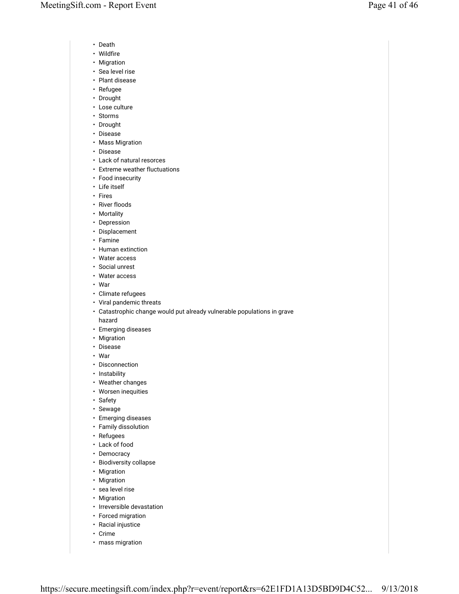- Death
- Wildfire
- Migration
- Sea level rise
- Plant disease
- Refugee
- Drought
- Lose culture
- Storms
- Drought
- Disease
- Mass Migration
- Disease
- Lack of natural resorces
- Extreme weather fluctuations
- Food insecurity
- Life itself
- Fires
- River floods
- Mortality
- Depression
- Displacement
- Famine
- Human extinction
- Water access
- Social unrest
- Water access
- War
- Climate refugees
- Viral pandemic threats
- Catastrophic change would put already vulnerable populations in grave
- hazard
- Emerging diseases
- Migration
- Disease
- War
- Disconnection
- Instability
- Weather changes
- Worsen inequities
- Safety
- Sewage
- Emerging diseases
- Family dissolution
- Refugees
- Lack of food
- Democracy
- Biodiversity collapse
- Migration
- Migration
- sea level rise
- Migration
- Irreversible devastation
- Forced migration
- Racial injustice
- Crime
- mass migration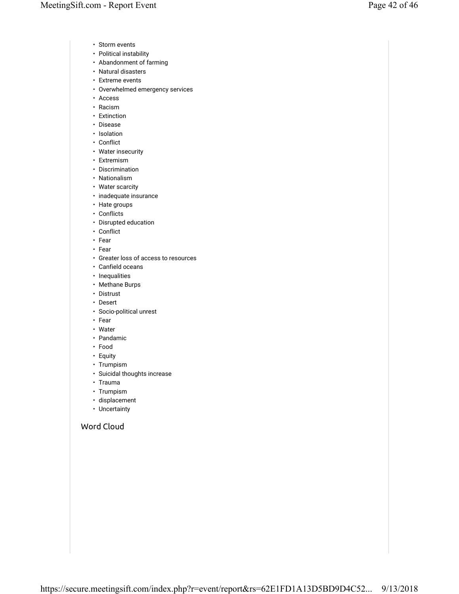- Storm events
- Political instability
- Abandonment of farming
- Natural disasters
- Extreme events
- Overwhelmed emergency services
- Access
- Racism
- Extinction
- Disease
- Isolation
- Conflict
- Water insecurity
- Extremism
- Discrimination
- Nationalism
- Water scarcity
- inadequate insurance
- Hate groups
- Conflicts
- Disrupted education
- Conflict
- Fear
- Fear
- Greater loss of access to resources
- Canfield oceans
- Inequalities
- Methane Burps
- Distrust
- Desert
- Socio-political unrest
- Fear
- Water
- Pandamic
- Food
- Equity
- Trumpism
- Suicidal thoughts increase
- Trauma
- Trumpism
- displacement
- Uncertainty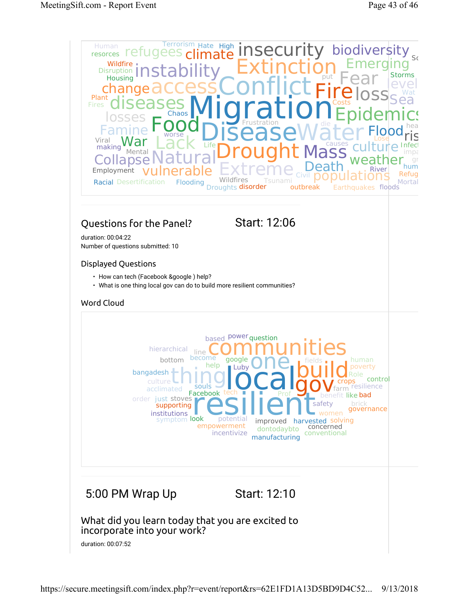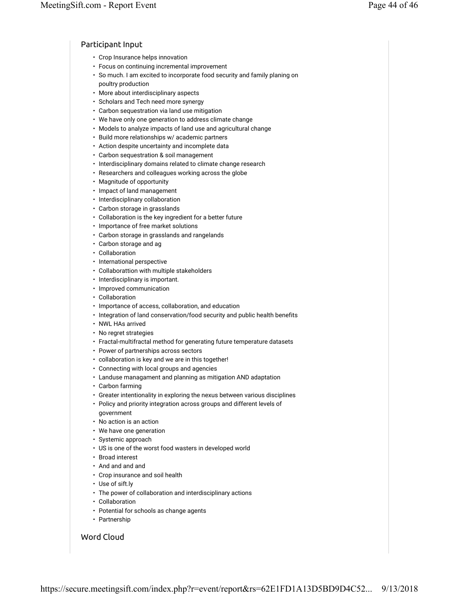#### Participant Input

- Crop Insurance helps innovation
- Focus on continuing incremental improvement
- So much. I am excited to incorporate food security and family planing on poultry production
- More about interdisciplinary aspects
- Scholars and Tech need more synergy
- Carbon sequestration via land use mitigation
- We have only one generation to address climate change
- Models to analyze impacts of land use and agricultural change
- Build more relationships w/ academic partners
- Action despite uncertainty and incomplete data
- Carbon sequestration & soil management
- Interdisciplinary domains related to climate change research
- Researchers and colleagues working across the globe
- Magnitude of opportunity
- Impact of land management
- Interdisciplinary collaboration
- Carbon storage in grasslands
- Collaboration is the key ingredient for a better future
- Importance of free market solutions
- Carbon storage in grasslands and rangelands
- Carbon storage and ag
- Collaboration
- International perspective
- Collaborattion with multiple stakeholders
- Interdisciplinary is important.
- Improved communication
- Collaboration
- Importance of access, collaboration, and education
- Integration of land conservation/food security and public health benefits
- NWL HAs arrived
- No regret strategies
- Fractal-multifractal method for generating future temperature datasets
- Power of partnerships across sectors
- collaboration is key and we are in this together!
- Connecting with local groups and agencies
- Landuse managament and planning as mitigation AND adaptation
- Carbon farming
- Greater intentionality in exploring the nexus between various disciplines
- Policy and priority integration across groups and different levels of
- government
- No action is an action • We have one generation
- Systemic approach
- US is one of the worst food wasters in developed world
- Broad interest
- And and and and
- Crop insurance and soil health
- Use of sift.ly
- The power of collaboration and interdisciplinary actions
- Collaboration
- Potential for schools as change agents
- Partnership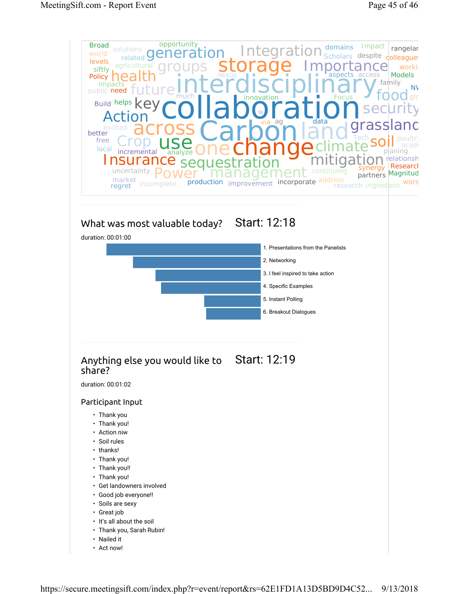

https://secure.meetingsift.com/index.php?r=event/report&rs=62E1FD1A13D5BD9D4C52... 9/13/2018